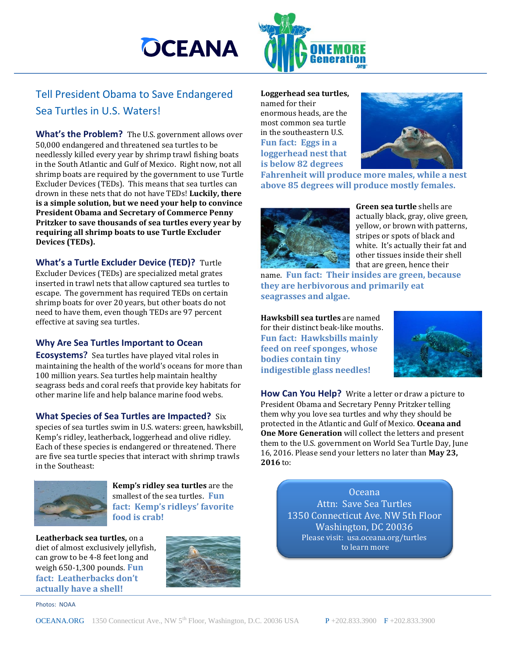## **OCEANA**

## Tell President Obama to Save Endangered Sea Turtles in U.S. Waters!

**What's the Problem?** The U.S. government allows over 50,000 endangered and threatened sea turtles to be needlessly killed every year by shrimp trawl fishing boats in the South Atlantic and Gulf of Mexico. Right now, not all shrimp boats are required by the government to use Turtle Excluder Devices (TEDs). This means that sea turtles can drown in these nets that do not have TEDs! **Luckily, there is a simple solution, but we need your help to convince President Obama and Secretary of Commerce Penny Pritzker to save thousands of sea turtles every year by requiring all shrimp boats to use Turtle Excluder Devices (TEDs).**

**What's a Turtle Excluder Device (TED)?** Turtle Excluder Devices (TEDs) are specialized metal grates inserted in trawl nets that allow captured sea turtles to escape. The government has required TEDs on certain shrimp boats for over 20 years, but other boats do not need to have them, even though TEDs are 97 percent effective at saving sea turtles.

## **Why Are Sea Turtles Important to Ocean**

**Ecosystems?** Sea turtles have played vital roles in maintaining the health of the world's oceans for more than 100 million years. Sea turtles help maintain healthy seagrass beds and coral reefs that provide key habitats for other marine life and help balance marine food webs.

**What Species of Sea Turtles are Impacted?** Six species of sea turtles swim in U.S. waters: green, hawksbill, Kemp's ridley, leatherback, loggerhead and olive ridley. Each of these species is endangered or threatened. There are five sea turtle species that interact with shrimp trawls in the Southeast:



**Kemp's ridley sea turtles** are the smallest of the sea turtles. **Fun fact: Kemp's ridleys' favorite food is crab!**

**Leatherback sea turtles,** on a diet of almost exclusively jellyfish, can grow to be 4-8 feet long and weigh 650-1,300 pounds. **Fun fact: Leatherbacks don't actually have a shell!**



Photos: NOAA



**Loggerhead sea turtles,**  named for their enormous heads, are the most common sea turtle in the southeastern U.S. **Fun fact: Eggs in a loggerhead nest that is below 82 degrees** 



**Fahrenheit will produce more males, while a nest above 85 degrees will produce mostly females.**



**Green sea turtle** shells are actually black, gray, olive green, yellow, or brown with patterns, stripes or spots of black and white. It's actually their fat and other tissues inside their shell that are green, hence their

name. **Fun fact: Their insides are green, because they are herbivorous and primarily eat seagrasses and algae.** 

**Hawksbill sea turtles** are named for their distinct beak-like mouths. **Fun fact: Hawksbills mainly feed on reef sponges, whose bodies contain tiny indigestible glass needles!**



**How Can You Help?** Write a letter or draw a picture to President Obama and Secretary Penny Pritzker telling them why you love sea turtles and why they should be protected in the Atlantic and Gulf of Mexico. **Oceana and One More Generation** will collect the letters and present them to the U.S. government on World Sea Turtle Day, June 16, 2016. Please send your letters no later than **May 23, 2016** to:

> Oceana Attn: Save Sea Turtles 1350 Connecticut Ave. NW 5th Floor Washington, DC 20036 Please visit: usa.oceana.org/turtles to learn more